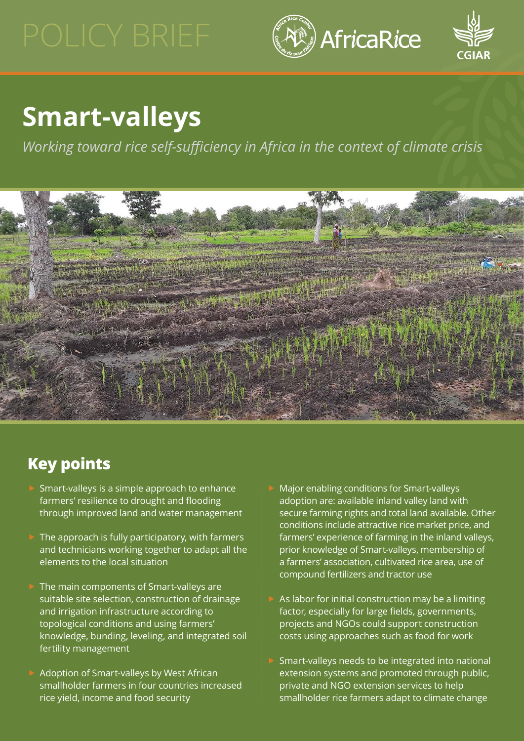



# **Smart-valleys**

*Working toward rice self-sufficiency in Africa in the context of climate crisis*



## **Key points**

- f Smart-valleys is a simple approach to enhance farmers' resilience to drought and flooding through improved land and water management
- The approach is fully participatory, with farmers and technicians working together to adapt all the elements to the local situation
- The main components of Smart-valleys are suitable site selection, construction of drainage and irrigation infrastructure according to topological conditions and using farmers' knowledge, bunding, leveling, and integrated soil fertility management
- Adoption of Smart-valleys by West African smallholder farmers in four countries increased rice yield, income and food security
- Major enabling conditions for Smart-valleys adoption are: available inland valley land with secure farming rights and total land available. Other conditions include attractive rice market price, and farmers' experience of farming in the inland valleys, prior knowledge of Smart-valleys, membership of a farmers' association, cultivated rice area, use of compound fertilizers and tractor use
- As labor for initial construction may be a limiting factor, especially for large fields, governments, projects and NGOs could support construction costs using approaches such as food for work
- Smart-valleys needs to be integrated into national extension systems and promoted through public, private and NGO extension services to help smallholder rice farmers adapt to climate change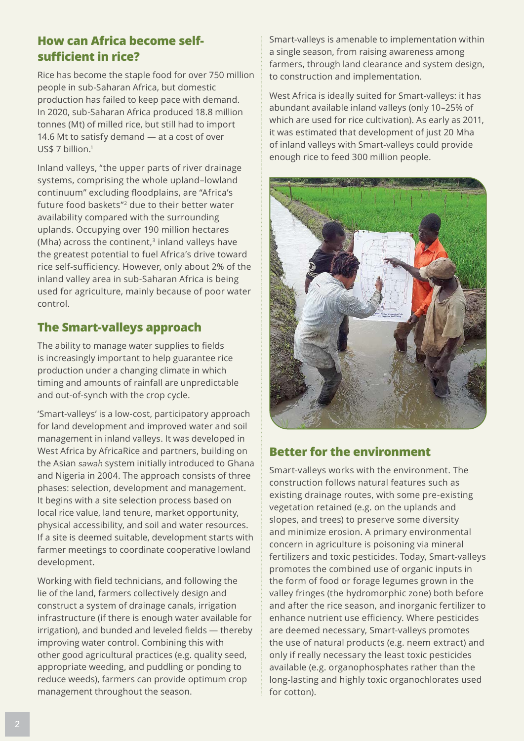#### <span id="page-1-0"></span>**How can Africa become selfsufficient in rice?**

Rice has become the staple food for over 750 million people in sub-Saharan Africa, but domestic production has failed to keep pace with demand. In 2020, sub-Saharan Africa produced 18.8 million tonnes (Mt) of milled rice, but still had to import 14.6 Mt to satisfy demand — at a cost of over US\$ 7 billion.<sup>[1](#page-3-0)</sup>

Inland valleys, "the upper parts of river drainage systems, comprising the whole upland–lowland continuum" excluding floodplains, are "Africa's future food baskets"[2](#page-3-0) due to their better water availability compared with the surrounding uplands. Occupying over 190 million hectares (Mha) across the continent, $3$  inland valleys have the greatest potential to fuel Africa's drive toward rice self-sufficiency. However, only about 2% of the inland valley area in sub-Saharan Africa is being used for agriculture, mainly because of poor water control.

### **The Smart-valleys approach**

The ability to manage water supplies to fields is increasingly important to help guarantee rice production under a changing climate in which timing and amounts of rainfall are unpredictable and out-of-synch with the crop cycle.

'Smart-valleys' is a low-cost, participatory approach for land development and improved water and soil management in inland valleys. It was developed in West Africa by AfricaRice and partners, building on the Asian *sawah* system initially introduced to Ghana and Nigeria in 2004. The approach consists of three phases: selection, development and management. It begins with a site selection process based on local rice value, land tenure, market opportunity, physical accessibility, and soil and water resources. If a site is deemed suitable, development starts with farmer meetings to coordinate cooperative lowland development.

Working with field technicians, and following the lie of the land, farmers collectively design and construct a system of drainage canals, irrigation infrastructure (if there is enough water available for irrigation), and bunded and leveled fields — thereby improving water control. Combining this with other good agricultural practices (e.g. quality seed, appropriate weeding, and puddling or ponding to reduce weeds), farmers can provide optimum crop management throughout the season.

Smart-valleys is amenable to implementation within a single season, from raising awareness among farmers, through land clearance and system design, to construction and implementation.

West Africa is ideally suited for Smart-valleys: it has abundant available inland valleys (only 10–25% of which are used for rice cultivation). As early as 2011, it was estimated that development of just 20 Mha of inland valleys with Smart-valleys could provide enough rice to feed 300 million people.



#### **Better for the environment**

Smart-valleys works with the environment. The construction follows natural features such as existing drainage routes, with some pre-existing vegetation retained (e.g. on the uplands and slopes, and trees) to preserve some diversity and minimize erosion. A primary environmental concern in agriculture is poisoning via mineral fertilizers and toxic pesticides. Today, Smart-valleys promotes the combined use of organic inputs in the form of food or forage legumes grown in the valley fringes (the hydromorphic zone) both before and after the rice season, and inorganic fertilizer to enhance nutrient use efficiency. Where pesticides are deemed necessary, Smart-valleys promotes the use of natural products (e.g. neem extract) and only if really necessary the least toxic pesticides available (e.g. organophosphates rather than the long-lasting and highly toxic organochlorates used for cotton).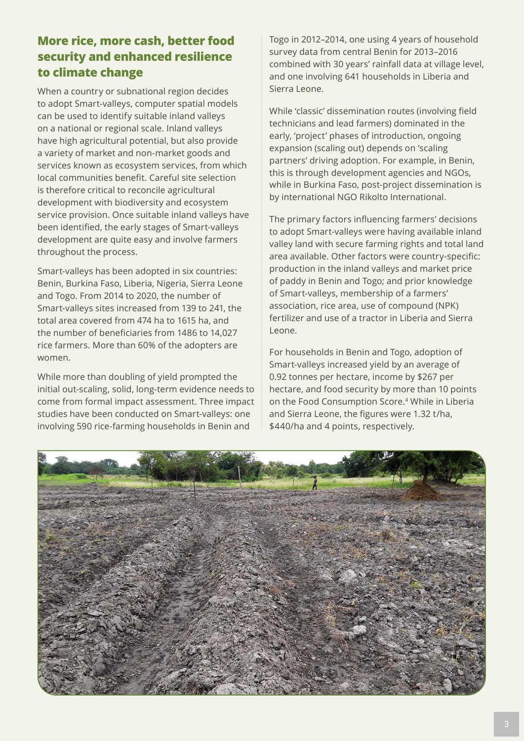#### <span id="page-2-0"></span>**More rice, more cash, better food security and enhanced resilience to climate change**

When a country or subnational region decides to adopt Smart-valleys, computer spatial models can be used to identify suitable inland valleys on a national or regional scale. Inland valleys have high agricultural potential, but also provide a variety of market and non-market goods and services known as ecosystem services, from which local communities benefit. Careful site selection is therefore critical to reconcile agricultural development with biodiversity and ecosystem service provision. Once suitable inland valleys have been identified, the early stages of Smart-valleys development are quite easy and involve farmers throughout the process.

Smart-valleys has been adopted in six countries: Benin, Burkina Faso, Liberia, Nigeria, Sierra Leone and Togo. From 2014 to 2020, the number of Smart-valleys sites increased from 139 to 241, the total area covered from 474 ha to 1615 ha, and the number of beneficiaries from 1486 to 14,027 rice farmers. More than 60% of the adopters are women.

While more than doubling of yield prompted the initial out-scaling, solid, long-term evidence needs to come from formal impact assessment. Three impact studies have been conducted on Smart-valleys: one involving 590 rice-farming households in Benin and

Togo in 2012–2014, one using 4 years of household survey data from central Benin for 2013–2016 combined with 30 years' rainfall data at village level, and one involving 641 households in Liberia and Sierra Leone.

While 'classic' dissemination routes (involving field technicians and lead farmers) dominated in the early, 'project' phases of introduction, ongoing expansion (scaling out) depends on 'scaling partners' driving adoption. For example, in Benin, this is through development agencies and NGOs, while in Burkina Faso, post-project dissemination is by international NGO Rikolto International.

The primary factors influencing farmers' decisions to adopt Smart-valleys were having available inland valley land with secure farming rights and total land area available. Other factors were country-specific: production in the inland valleys and market price of paddy in Benin and Togo; and prior knowledge of Smart-valleys, membership of a farmers' association, rice area, use of compound (NPK) fertilizer and use of a tractor in Liberia and Sierra Leone.

For households in Benin and Togo, adoption of Smart-valleys increased yield by an average of 0.92 tonnes per hectare, income by \$267 per hectare, and food security by more than 10 points on the Food Consumption Score[.4](#page-3-0) While in Liberia and Sierra Leone, the figures were 1.32 t/ha, \$440/ha and 4 points, respectively.